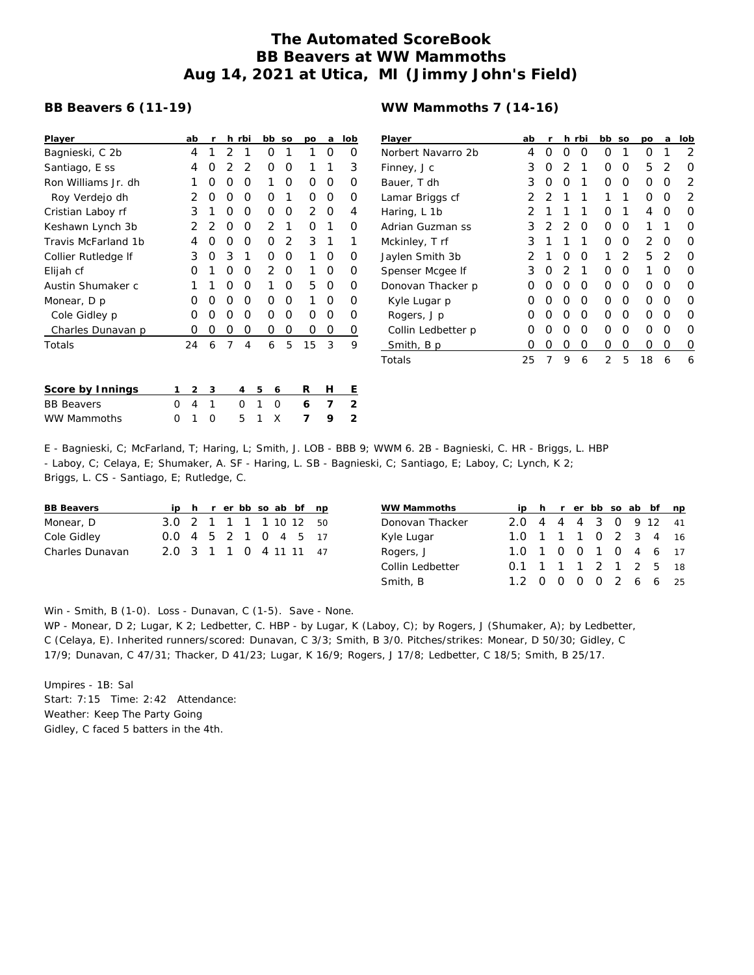## **The Automated ScoreBook BB Beavers at WW Mammoths Aug 14, 2021 at Utica, MI (Jimmy John's Field)**

## **BB Beavers 6 (11-19)**

| Player              |   | ab | r |                | h rbi |   | bb             | SO | po | a | lob            |
|---------------------|---|----|---|----------------|-------|---|----------------|----|----|---|----------------|
| Bagnieski, C 2b     |   | 4  | 1 | 2              | 1     |   | Ο              | 1  | 1  | Ω | Ο              |
| Santiago, E ss      |   | 4  | Ο | 2              | 2     |   | Ο              | Ο  | 1  | 1 | 3              |
| Ron Williams Jr. dh |   | 1  | O | Ο              | O     |   | 1              | Ω  | Ο  | Ο | Ω              |
| Roy Verdejo dh      |   | 2  | Ο | Ο              | Ο     |   | Ο              | 1  | Ο  | Ο | Ο              |
| Cristian Laboy rf   |   | 3  | 1 | 0              | 0     |   | Ο              | Ο  | 2  | O | 4              |
| Keshawn Lynch 3b    |   | 2  | 2 | Ο              | Ο     |   | $\overline{2}$ | 1  | Ο  | 1 | ი              |
| Travis McFarland 1b |   | 4  | Ο | Ο              | Ο     |   | Ο              | 2  | 3  | 1 | 1              |
| Collier Rutledge If |   | 3  | Ο | 3              | 1     |   | Ο              | Ο  | 1  | Ω | Ω              |
| Elijah cf           |   | 0  | 1 | Ο              | Ο     |   | 2              | Ο  | 1  | Ο | Ω              |
| Austin Shumaker c   |   | 1  | 1 | Ο              | Ο     |   | 1              | Ω  | 5  | O | Ω              |
| Monear, D p         |   | Ο  | O | 0              | 0     |   | O              | Ο  | 1  | Ο | Ο              |
| Cole Gidley p       |   | Ο  | Ο | 0              | O     |   | Ο              | Ο  | Ο  | Ο | Ω              |
| Charles Dunavan p   |   | Ο  | 0 | 0              | 0     |   | 0              | 0  | 0  | 0 | 0              |
| Totals              |   | 24 | 6 | $\overline{7}$ | 4     |   | 6              | 5  | 15 | 3 | 9              |
|                     |   |    |   |                |       |   |                |    |    |   |                |
| Score by Innings    | 1 | 2  | 3 |                | 4     | 5 | 6              |    | R  | H | Ε              |
| <b>BB Beavers</b>   | O | 4  | 1 |                | Ω     | 1 | Ω              |    | 6  | 7 | $\overline{2}$ |

WW Mammoths 0 1 0 5 1 X **7 9 2**

## **WW Mammoths 7 (14-16)**

| Player             | ab            | r              |   | h rbi | bb | SO            | DΟ | a             | lob |
|--------------------|---------------|----------------|---|-------|----|---------------|----|---------------|-----|
| Norbert Navarro 2b | 4             | Ω              | O | O     | Ω  | 1             | Ω  | 1             | 2   |
| Finney, J c        | 3             | 0              | 2 | 1     | Ο  | Ο             | 5  | 2             | Ω   |
| Bauer, T dh        | 3             | O              | O | 1     | O  | O             | O  | Ω             | 2   |
| Lamar Briggs cf    | 2             | $\overline{2}$ | 1 | 1     | 1  | 1             | Ω  | Ω             | 2   |
| Haring, L 1b       | $\mathcal{P}$ | 1              | 1 | 1     | Ο  | 1             | 4  | Ω             | ∩   |
| Adrian Guzman ss   | 3             | 2              | 2 | O     | O  | O             | 1  | 1             | Ω   |
| Mckinley, T rf     | 3             | 1              | 1 | 1     | O  | Ω             | 2  | O             | ∩   |
| Jaylen Smith 3b    | $\mathcal{P}$ | 1              | Ο | O     | 1  | $\mathcal{P}$ | 5  | $\mathcal{P}$ | Ω   |
| Spenser Mcgee If   | 3             | O              | 2 | 1     | O  | O             | 1  | Ω             | O   |
| Donovan Thacker p  | Ω             | 0              | Ο | O     | O  | O             | Ω  | O             | O   |
| Kyle Lugar p       | Ω             | Ο              | Ο | O     | O  | Ο             | Ω  | Ω             | O   |
| Rogers, J p        | Ω             | O              | Ο | O     | O  | O             | Ω  | 0             | O   |
| Collin Ledbetter p | Ω             | Ω              | Ο | O     | Ω  | Ω             | Ω  | Ω             | O   |
| Smith, B p         | Ο             | 0              | 0 | O     | O  | 0             | Ο  | 0             | O   |
| Totals             | 25            | 7              | 9 | 6     | 2  | 5             | 18 | 6             | 6   |

E - Bagnieski, C; McFarland, T; Haring, L; Smith, J. LOB - BBB 9; WWM 6. 2B - Bagnieski, C. HR - Briggs, L. HBP - Laboy, C; Celaya, E; Shumaker, A. SF - Haring, L. SB - Bagnieski, C; Santiago, E; Laboy, C; Lynch, K 2; Briggs, L. CS - Santiago, E; Rutledge, C.

|  |  |  |  | ip h r er bb so ab bf np<br>3.0 2 1 1 1 1 10 12 50<br>0.0 4 5 2 1 0 4 5 17<br>2.0 3 1 1 0 4 11 11 47 |
|--|--|--|--|------------------------------------------------------------------------------------------------------|

| WW Mammoths      |                       |  |  |  | ip h r er bb so ab bf np |    |
|------------------|-----------------------|--|--|--|--------------------------|----|
| Donovan Thacker  | 2.0 4 4 4 3 0 9 12 41 |  |  |  |                          |    |
| Kyle Lugar       | 1.0 1 1 1 0 2 3 4 16  |  |  |  |                          |    |
| Rogers, J        | 1.0 1 0 0 1 0 4 6 17  |  |  |  |                          |    |
| Collin Ledbetter | 0.1 1 1 1 2 1 2 5 18  |  |  |  |                          |    |
| Smith, B         | 1.2 0 0 0 0 2 6 6     |  |  |  |                          | 25 |

Win - Smith, B (1-0). Loss - Dunavan, C (1-5). Save - None.

WP - Monear, D 2; Lugar, K 2; Ledbetter, C. HBP - by Lugar, K (Laboy, C); by Rogers, J (Shumaker, A); by Ledbetter, C (Celaya, E). Inherited runners/scored: Dunavan, C 3/3; Smith, B 3/0. Pitches/strikes: Monear, D 50/30; Gidley, C 17/9; Dunavan, C 47/31; Thacker, D 41/23; Lugar, K 16/9; Rogers, J 17/8; Ledbetter, C 18/5; Smith, B 25/17.

Umpires - 1B: Sal Start: 7:15 Time: 2:42 Attendance: Weather: Keep The Party Going Gidley, C faced 5 batters in the 4th.